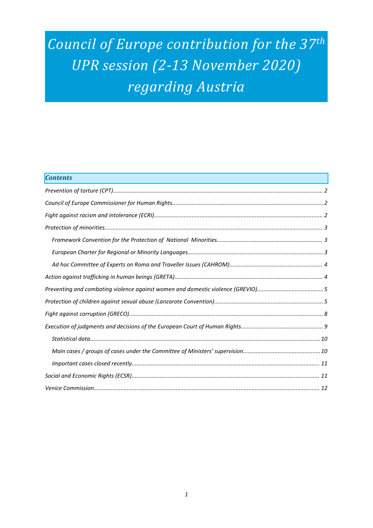# *Council of Europe contribution for the <sup>37</sup>th UPR session (2-13 November 2020) regarding Austria*

| <b>Contents</b> |  |
|-----------------|--|
|                 |  |
|                 |  |
|                 |  |
|                 |  |
|                 |  |
|                 |  |
|                 |  |
|                 |  |
|                 |  |
|                 |  |
|                 |  |
|                 |  |
|                 |  |
|                 |  |
|                 |  |
|                 |  |
|                 |  |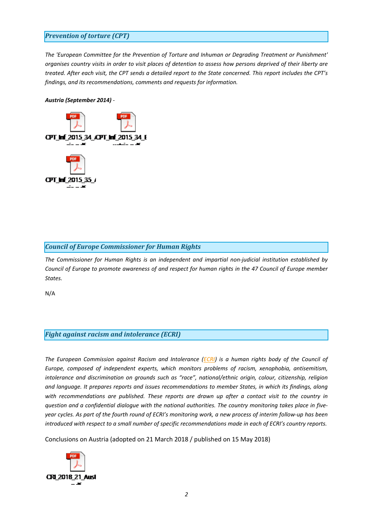## <span id="page-1-0"></span>*Prevention of torture (CPT)*

*The 'European Committee for the Prevention of Torture and Inhuman or Degrading Treatment or Punishment'* organises country visits in order to visit places of detention to assess how persons deprived of their liberty are treated. After each visit, the CPT sends a detailed report to the State concerned. This report includes the CPT's *findings, and its recommendations, comments and requests for information.*

#### *Austria (September 2014) -*



### *Council of Europe Commissioner for Human Rights*

*The Commissioner for Human Rights is an independent and impartial non-judicial institution established by* Council of Europe to promote awareness of and respect for human rights in the 47 Council of Europe member *States.*

N/A

## *Fight against racism and intolerance (ECRI)*

*The European Commission against Racism and Intolerance [\(ECRI\)](http://www.coe.int/t/dghl/monitoring/ecri/default_en.asp) is <sup>a</sup> human rights body of the Council of Europe, composed of independent experts, which monitors problems of racism, xenophobia, antisemitism, intolerance and discrimination on grounds such as "race", national/ethnic origin, colour, citizenship, religion and language. It prepares reports and issues recommendations to member States, in which its findings, along with recommendations are published. These reports are drawn up after <sup>a</sup> contact visit to the country in question and <sup>a</sup> confidential dialogue with the national authorities. The country monitoring takes place in five*year cycles. As part of the fourth round of ECRI's monitoring work, a new process of interim follow-up has been introduced with respect to a small number of specific recommendations made in each of ECRI's country reports.

Conclusions on Austria (adopted on 21 March 2018 / published on 15 May 2018)

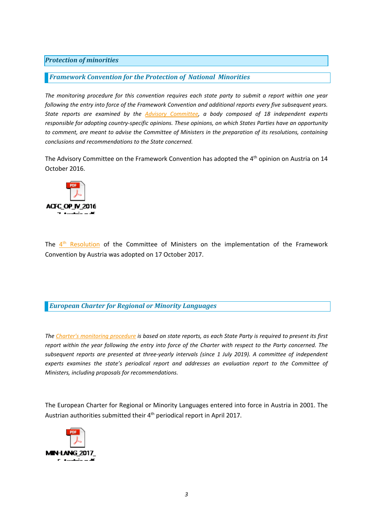### <span id="page-2-0"></span>*Protection of minorities*

## *Framework Convention for the Protection of National Minorities*

*The monitoring procedure for this convention requires each state party to submit <sup>a</sup> report within one year following the entry into force of the Framework Convention and additional reports every five subsequent years. State reports are examined by the Advisory [Committee,](http://www.coe.int/en/web/minorities/monitoring) <sup>a</sup> body composed of 18 independent experts responsible for adopting country-specific opinions. These opinions, on which States Parties have an opportunity* to comment, are meant to advise the Committee of Ministers in the preparation of its resolutions, containing *conclusions and recommendations to the State concerned.*

The Advisory Committee on the Framework Convention has adopted the 4<sup>th</sup> opinion on Austria on 14 October 2016.



The  $4^{\text{th}}$  [Resolution](https://search.coe.int/cm/Pages/result_details.aspx?ObjectId=090000168075f884) of the Committee of Ministers on the implementation of the Framework Convention by Austria was adopted on 17 October 2017.

## *European Charter for Regional or Minority Languages*

The Charter's [monitoring](http://www.coe.int/t/dg4/education/minlang/Report/) procedure is based on state reports, as each State Party is required to present its first report within the year following the entry into force of the Charter with respect to the Party concerned. The *subsequent reports are presented at three-yearly intervals (since 1 July 2019). A committee of independent experts examines the state'<sup>s</sup> periodical report and addresses an evaluation report to the Committee of Ministers, including proposals for recommendations.*

The European Charter for Regional or Minority Languages entered into force in Austria in 2001. The Austrian authorities submitted their 4<sup>th</sup> periodical report in April 2017.

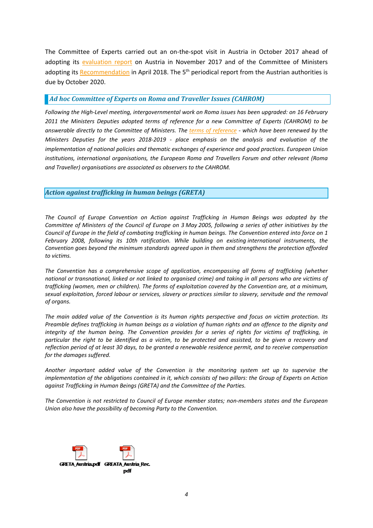<span id="page-3-0"></span>The Committee of Experts carried out an on-the-spot visit in Austria in October 2017 ahead of adopting its [evaluation](https://search.coe.int/cm/Pages/result_details.aspx?ObjectID=090000168078bb08) report on Austria in November 2017 and of the Committee of Ministers adopting its [Recommendation](https://search.coe.int/cm/Pages/result_details.aspx?ObjectID=09000016807b4267) in April 2018. The 5<sup>th</sup> periodical report from the Austrian authorities is due by October 2020.

#### *Ad hoc Committee of Experts on Roma and Traveller Issues (CAHROM)*

*Following the High-Level meeting, intergovernmental work on Roma issues has been upgraded: on 16 February 2011 the Ministers Deputies adopted terms of reference for <sup>a</sup> new Committee of Experts (CAHROM) to be* answerable directly to the Committee of Ministers. The terms of [reference](http://rm.coe.int/cahrom-2017-28-en-final-terms-of-reference-2018-2019/168077dc8a) - which have been renewed by the *Ministers Deputies for the years 2018-2019 - place emphasis on the analysis and evaluation of the implementation of national policies and thematic exchanges of experience and good practices. European Union institutions, international organisations, the European Roma and Travellers Forum and other relevant (Roma and Traveller) organisations are associated as observers to the CAHROM.*

### *Action against trafficking in human beings (GRETA)*

*The Council of Europe Convention on Action against Trafficking in Human Beings was adopted by the* Committee of Ministers of the Council of Europe on 3 May 2005, following a series of other initiatives by the Council of Europe in the field of combating trafficking in human beings. The Convention entered into force on 1 *February 2008, following its 10th ratification. While building on existing international instruments, the Convention goes beyond the minimum standards agreed upon in them and strengthens the protection afforded to victims.*

*The Convention has <sup>a</sup> comprehensive scope of application, encompassing all forms of trafficking (whether* national or transnational, linked or not linked to organised crime) and taking in all persons who are victims of trafficking (women, men or children). The forms of exploitation covered by the Convention are, at a minimum, sexual exploitation, forced labour or services, slavery or practices similar to slavery, servitude and the removal *of organs.*

The main added value of the Convention is its human rights perspective and focus on victim protection. Its Preamble defines trafficking in human beings as a violation of human rights and an offence to the dignity and integrity of the human being. The Convention provides for a series of rights for victims of trafficking, in particular the right to be identified as a victim, to be protected and assisted, to be given a recovery and reflection period of at least 30 days, to be granted a renewable residence permit, and to receive compensation *for the damages suffered.*

*Another important added value of the Convention is the monitoring system set up to supervise the* implementation of the obligations contained in it, which consists of two pillars: the Group of Experts on Action *against Trafficking in Human Beings (GRETA) and the Committee of the Parties.*

*The Convention is not restricted to Council of Europe member states; non-members states and the European Union also have the possibility of becoming Party to the Convention.*

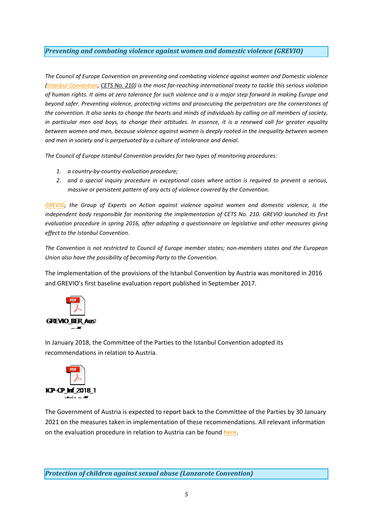## <span id="page-4-0"></span>*Preventing and combating violence against women and domestic violence (GREVIO)*

*The Council of Europe Convention on preventing and combating violence against women and Domestic violence* (Istanbul [Convention,](https://www.coe.int/en/web/conventions/full-list/-/conventions/treaty/210) CETS No. [210\)](https://www.coe.int/en/web/conventions/full-list/-/conventions/treaty/210) is the most far-reaching international treaty to tackle this serious violation of human rights. It gims at zero tolerance for such violence and is a major step forward in making Europe and *beyond safer. Preventing violence, protecting victims and prosecuting the perpetrators are the cornerstones of* the convention. It also seeks to change the hearts and minds of individuals by calling on all members of society, in particular men and boys, to change their attitudes. In essence, it is a renewed call for greater equality *between women and men, because violence against women is deeply rooted in the inequality between women and men in society and is perpetuated by <sup>a</sup> culture of intolerance and denial.*

*The Council of Europe Istanbul Convention provides for two types of monitoring procedures:*

- *1. <sup>a</sup> country-by-country evaluation procedure;*
- *2. and <sup>a</sup> special inquiry procedure in exceptional cases where action is required to prevent <sup>a</sup> serious, massive or persistent pattern of any acts of violence covered by the Convention.*

*[GREVIO,](https://www.coe.int/en/web/istanbul-convention/grevio) the Group of Experts on Action against violence against women and domestic violence, is the independent body responsible for monitoring the implementation of CETS No. 210. GREVIO launched its first evaluation procedure in spring 2016, after adopting <sup>a</sup> questionnaire on legislative and other measures giving effect to the Istanbul Convention.*

*The Convention is not restricted to Council of Europe member states; non-members states and the European Union also have the possibility of becoming Party to the Convention.*

The implementation of the provisions of the Istanbul Convention by Austria was monitored in 2016 and GREVIO'<sup>s</sup> first baseline evaluation report published in September 2017.



In January 2018, the Committee of the Parties to the Istanbul Convention adopted its recommendations in relation to Austria.



The Government of Austria is expected to report back to the Committee of the Parties by 30 January 2021 on the measures taken in implementation of these recommendations. All relevant information on the evaluation procedure in relation to Austria can be found [here](https://www.coe.int/en/web/istanbul-convention/austria).

*Protection of children against sexual abuse (Lanzarote Convention)*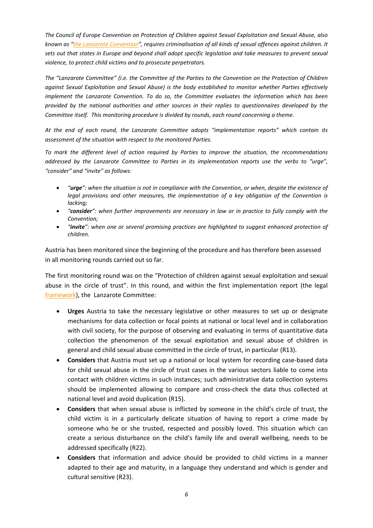*The Council of Europe Convention on Protection of Children against Sexual Exploitation and Sexual Abuse, also* known as "the Lanzarote [Convention](https://www.coe.int/en/web/children/lanzarote-convention)", requires criminalisation of all kinds of sexual offences against children. It sets out that states in Europe and beyond shall adopt specific legislation and take measures to prevent sexual *violence, to protect child victims and to prosecute perpetrators.*

The "Lanzarote Committee" (i.e. the Committee of the Parties to the Convention on the Protection of Children *against Sexual Exploitation and Sexual Abuse) is the body established to monitor whether Parties effectively implement the Lanzarote Convention. To do so, the Committee evaluates the information which has been provided by the national authorities and other sources in their replies to questionnaires developed by the Committee itself. This monitoring procedure is divided by rounds, each round concerning <sup>a</sup> theme.*

*At the end of each round, the Lanzarote Committee adopts "implementation reports" which contain its assessment of the situation with respect to the monitored Parties.*

*To mark the different level of action required by Parties to improve the situation, the recommendations* addressed by the Lanzarote Committee to Parties in its implementation reports use the verbs to "urge", *"consider" and "invite" as follows:*

- c "urge": when the situation is not in compliance with the Convention, or when, despite the existence of *legal provisions and other measures, the implementation of <sup>a</sup> key obligation of the Convention is lacking;*
- c "consider": when further improvements are necessary in law or in practice to fully comply with the *Convention;*
- *"invite": when one or several promising practices are highlighted to suggest enhanced protection of children.*

Austria has been monitored since the beginning of the procedure and has therefore been assessed in all monitoring rounds carried out so far.

The first monitoring round was on the "Protection of children against sexual exploitation and sexual abuse in the circle of trust". In this round, and within the first implementation report (the legal [framework](https://rm.coe.int/1st-implementation-report-protection-of-children-against-sexual-abuse-/16808ae53f)), the Lanzarote Committee:

- $\bullet$  **Urges** Austria to take the necessary legislative or other measures to set up or designate mechanisms for data collection or focal points at national or local level and in collaboration with civil society, for the purpose of observing and evaluating in terms of quantitative data collection the phenomenon of the sexual exploitation and sexual abuse of children in general and child sexual abuse committed in the circle of trust, in particular (R13).
- $\bullet$  **Considers** that Austria must set up <sup>a</sup> national or local system for recording case-based data for child sexual abuse in the circle of trust cases in the various sectors liable to come into contact with children victims in such instances; such administrative data collection systems should be implemented allowing to compare and cross-check the data thus collected at national level and avoid duplication (R15).
- $\bullet$  **Considers** that when sexual abuse is inflicted by someone in the child'<sup>s</sup> circle of trust, the child victim is in <sup>a</sup> particularly delicate situation of having to report <sup>a</sup> crime made by someone who he or she trusted, respected and possibly loved. This situation which can create <sup>a</sup> serious disturbance on the child'<sup>s</sup> family life and overall wellbeing, needs to be addressed specifically (R22).
- c **Considers** that information and advice should be provided to child victims in <sup>a</sup> manner adapted to their age and maturity, in <sup>a</sup> language they understand and which is gender and cultural sensitive (R23).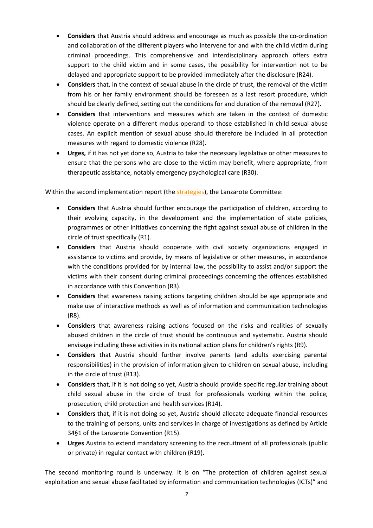- **Considers** that Austria should address and encourage as much as possible the co-ordination and collaboration of the different players who intervene for and with the child victim during criminal proceedings. This comprehensive and interdisciplinary approach offers extra support to the child victim and in some cases, the possibility for intervention not to be delayed and appropriate support to be provided immediately after the disclosure (R24).
- **Considers** that, in the context of sexual abuse in the circle of trust, the removal of the victim from his or her family environment should be foreseen as <sup>a</sup> last resort procedure, which should be clearly defined, setting out the conditions for and duration of the removal (R27).
- $\bullet$  **Considers** that interventions and measures which are taken in the context of domestic violence operate on <sup>a</sup> different modus operandi to those established in child sexual abuse cases. An explicit mention of sexual abuse should therefore be included in all protection measures with regard to domestic violence (R28).
- c **Urges,** if it has not yet done so, Austria to take the necessary legislative or other measures to ensure that the persons who are close to the victim may benefit, where appropriate, from therapeutic assistance, notably emergency psychological care (R30).

Within the second implementation report (the [strategies](https://rm.coe.int/2nd-implementation-report-protection-of-children-against-sexual-abuse-/16808d9c85)), the Lanzarote Committee:

- $\bullet$  **Considers** that Austria should further encourage the participation of children, according to their evolving capacity, in the development and the implementation of state policies, programmes or other initiatives concerning the fight against sexual abuse of children in the circle of trust specifically (R1).
- **Considers** that Austria should cooperate with civil society organizations engaged in assistance to victims and provide, by means of legislative or other measures, in accordance with the conditions provided for by internal law, the possibility to assist and/or support the victims with their consent during criminal proceedings concerning the offences established in accordance with this Convention (R3).
- **Considers** that awareness raising actions targeting children should be age appropriate and make use of interactive methods as well as of information and communication technologies (R8).
- **Considers** that awareness raising actions focused on the risks and realities of sexually abused children in the circle of trust should be continuous and systematic. Austria should envisage including these activities in its national action plans for children'<sup>s</sup> rights (R9).
- **Considers** that Austria should further involve parents (and adults exercising parenta responsibilities) in the provision of information given to children on sexual abuse, including in the circle of trust (R13).
- **Considers** that, if it is not doing so yet, Austria should provide specific regular training about child sexual abuse in the circle of trust for professionals working within the police, prosecution, child protection and health services (R14).
- **Considers** that, if it is not doing so yet, Austria should allocate adequate financial resources to the training of persons, units and services in charge of investigations as defined by Article 34§1 of the Lanzarote Convention (R15).
- **Urges** Austria to extend mandatory screening to the recruitment of all professionals (public or private) in regular contact with children (R19).

The second monitoring round is underway. It is on "The protection of children against sexual exploitation and sexual abuse facilitated by information and communication technologies (ICTs)" and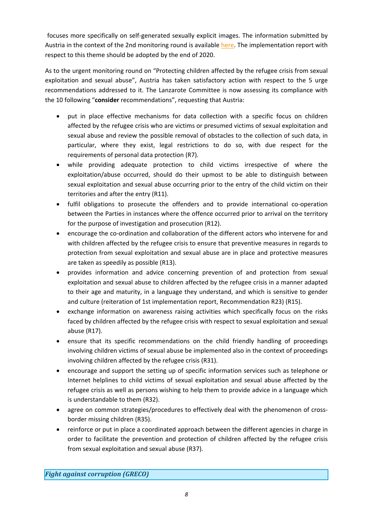<span id="page-7-0"></span>focuses more specifically on self-generated sexually explicit images. The information submitted by Austria in the context of the 2nd monitoring round is available [here](https://rm.coe.int/austria-replies-to-the-thematic-questionnaire/1680766cf4). The implementation report with respect to this theme should be adopted by the end of 2020.

As to the urgent monitoring round on "Protecting children affected by the refugee crisis from sexual exploitation and sexual abuse", Austria has taken satisfactory action with respect to the 5 urge recommendations addressed to it. The Lanzarote Committee is now assessing its compliance with the 10 following "**consider** recommendations", requesting that Austria:

- $\bullet$  put in place effective mechanisms for data collection with <sup>a</sup> specific focus on children affected by the refugee crisis who are victims or presumed victims of sexual exploitation and sexual abuse and review the possible removal of obstacles to the collection of such data, in particular, where they exist, legal restrictions to do so, with due respect for the requirements of personal data protection (R7).
- while providing adequate protection to child victims irrespective of where the exploitation/abuse occurred, should do their upmost to be able to distinguish between sexual exploitation and sexual abuse occurring prior to the entry of the child victim on their territories and after the entry (R11).
- fulfil obligations to prosecute the offenders and to provide international co-operation between the Parties in instances where the offence occurred prior to arrival on the territory for the purpose of investigation and prosecution (R12).
- encourage the co-ordination and collaboration of the different actors who intervene for and with children affected by the refugee crisis to ensure that preventive measures in regards to protection from sexual exploitation and sexual abuse are in place and protective measures are taken as speedily as possible (R13).
- c provides information and advice concerning prevention of and protection from sexual exploitation and sexual abuse to children affected by the refugee crisis in <sup>a</sup> manner adapted to their age and maturity, in <sup>a</sup> language they understand, and which is sensitive to gender and culture (reiteration of 1st implementation report, Recommendation R23) (R15).
- exchange information on awareness raising activities which specifically focus on the risks faced by children affected by the refugee crisis with respect to sexual exploitation and sexual abuse (R17).
- ensure that its specific recommendations on the child friendly handling of proceedings involving children victims of sexual abuse be implemented also in the context of proceedings involving children affected by the refugee crisis (R31).
- $\bullet$  encourage and support the setting up of specific information services such as telephone or Internet helplines to child victims of sexual exploitation and sexual abuse affected by the refugee crisis as well as persons wishing to help them to provide advice in <sup>a</sup> language which is understandable to them (R32).
- agree on common strategies/procedures to effectively deal with the phenomenon of crossborder missing children (R35).
- c reinforce or put in place <sup>a</sup> coordinated approach between the different agencies in charge in order to facilitate the prevention and protection of children affected by the refugee crisis from sexual exploitation and sexual abuse (R37).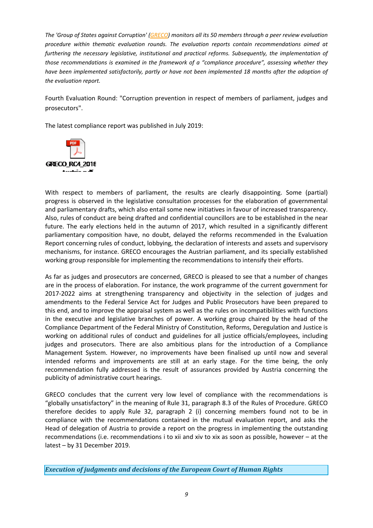<span id="page-8-0"></span>The 'Group of States against Corruption' [\(GRECO](http://www.coe.int/t/dghl/monitoring/greco/default_en.asp)) monitors all its 50 members through a peer review evaluation *procedure within thematic evaluation rounds. The evaluation reports contain recommendations aimed at furthering the necessary legislative, institutional and practical reforms. Subsequently, the implementation of those recommendations is examined in the framework of <sup>a</sup> "compliance procedure", assessing whether they have been implemented satisfactorily, partly or have not been implemented 18 months after the adoption of the evaluation report.*

Fourth Evaluation Round: "Corruption prevention in respect of members of parliament, judges and prosecutors".

The latest compliance report was published in July 2019:



With respect to members of parliament, the results are clearly disappointing. Some (partial) progress is observed in the legislative consultation processes for the elaboration of governmental and parliamentary drafts, which also entail some new initiatives in favour of increased transparency. Also, rules of conduct are being drafted and confidential councillors are to be established in the near future. The early elections held in the autumn of 2017, which resulted in <sup>a</sup> significantly different parliamentary composition have, no doubt, delayed the reforms recommended in the Evaluation Report concerning rules of conduct, lobbying, the declaration of interests and assets and supervisory mechanisms, for instance. GRECO encourages the Austrian parliament, and its specially established working group responsible for implementing the recommendations to intensify their efforts.

As far as judges and prosecutors are concerned, GRECO is pleased to see that <sup>a</sup> number of changes are in the process of elaboration. For instance, the work programme of the current government for 2017-2022 aims at strengthening transparency and objectivity in the selection of judges and amendments to the Federal Service Act for Judges and Public Prosecutors have been prepared to this end, and to improve the appraisal system as well as the rules on incompatibilities with functions in the executive and legislative branches of power. A working group chaired by the head of the Compliance Department of the Federal Ministry of Constitution, Reforms, Deregulation and Justice is working on additional rules of conduct and guidelines for all justice officials/employees, including judges and prosecutors. There are also ambitious plans for the introduction of <sup>a</sup> Compliance Management System. However, no improvements have been finalised up until now and several intended reforms and improvements are still at an early stage. For the time being, the only recommendation fully addressed is the result of assurances provided by Austria concerning the publicity of administrative court hearings.

GRECO concludes that the current very low level of compliance with the recommendations is "globally unsatisfactory" in the meaning of Rule 31, paragraph 8.3 of the Rules of Procedure. GRECO therefore decides to apply Rule 32, paragraph 2 (i) concerning members found not to be in compliance with the recommendations contained in the mutual evaluation report, and asks the Head of delegation of Austria to provide <sup>a</sup> report on the progress in implementing the outstanding recommendations (i.e. recommendations i to xii and xiv to xix as soon as possible, however – at the latest – by 31 December 2019.

*Execution of judgments and decisions of the European Court of Human Rights*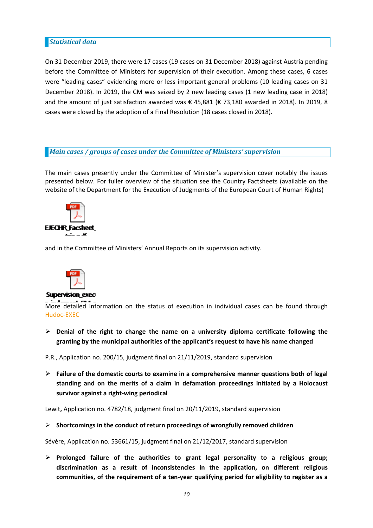# <span id="page-9-0"></span>*Statistical data*

On 31 December 2019, there were 17 cases (19 cases on 31 December 2018) against Austria pending before the Committee of Ministers for supervision of their execution. Among these cases, 6 cases were "leading cases" evidencing more or less important general problems (10 leading cases on 31 December 2018). In 2019, the CM was seized by 2 new leading cases (1 new leading case in 2018) and the amount of just satisfaction awarded was € 45,881 (€ 73,180 awarded in 2018). In 2019, 8 cases were closed by the adoption of <sup>a</sup> Final Resolution (18 cases closed in 2018).

## *Main cases / groups of cases under the Committee of Ministers' supervision*

The main cases presently under the Committee of Minister'<sup>s</sup> supervision cover notably the issues presented below. For fuller overview of the situation see the Country Factsheets (available on the website of the Department for the Execution of Judgments of the European Court of Human Rights)



and in the Committee of Ministers' Annual Reports on its supervision activity.



#### **Supervision exect**

More detailed information on the status of execution in individual cases can be found through [Hudoc-EXEC](https://hudoc.exec.coe.int/eng#{"EXECDocumentTypeCollection":["CEC"]})

 **Denial of the right to change the name on <sup>a</sup> university diploma certificate following the granting by the municipal authorities of the applicant'<sup>s</sup> request to have his name changed**

P.R., Application no. 200/15, judgment final on 21/11/2019, standard supervision

 **Failure of the domestic courts to examine in <sup>a</sup> comprehensive manner questions both of legal standing and on the merits of <sup>a</sup> claim in defamation proceedings initiated by <sup>a</sup> Holocaust survivor against <sup>a</sup> right-wing periodical**

Lewit**,** Application no. 4782/18, judgment final on 20/11/2019, standard supervision

**Shortcomings in the conduct of return proceedings of wrongfully removed children**

Sévère, Application no. 53661/15, judgment final on 21/12/2017, standard supervision

 **Prolonged failure of the authorities to grant legal personality to <sup>a</sup> religious group; discrimination as <sup>a</sup> result of inconsistencies in the application, on different religious communities, of the requirement of <sup>a</sup> ten-year qualifying period for eligibility to register as <sup>a</sup>**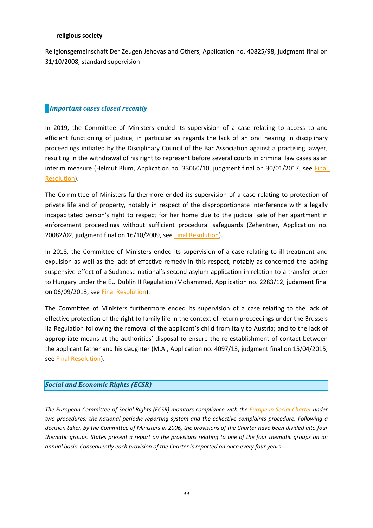### <span id="page-10-0"></span>**religious society**

Religionsgemeinschaft Der Zeugen Jehovas and Others, Application no. 40825/98, judgment final on 31/10/2008, standard supervision

# *Important cases closed recently*

In 2019, the Committee of Ministers ended its supervision of <sup>a</sup> case relating to access to and efficient functioning of justice, in particular as regards the lack of an oral hearing in disciplinary proceedings initiated by the Disciplinary Council of the Bar Association against <sup>a</sup> practising lawyer, resulting in the withdrawal of his right to represent before several courts in criminal law cases as an interim measure (Helmut Blum, Application no. 33060/10, judgment final on 30/01/2017, see [Final](http://hudoc.exec.coe.int/eng?i=001-191731) [Resolution](http://hudoc.exec.coe.int/eng?i=001-191731)).

The Committee of Ministers furthermore ended its supervision of <sup>a</sup> case relating to protection of private life and of property, notably in respect of the disproportionate interference with <sup>a</sup> legally incapacitated person's right to respect for her home due to the judicial sale of her apartment in enforcement proceedings without sufficient procedural safeguards (Zehentner, Application no. 20082/02, judgment final on 16/10/2009, see Final [Resolution](http://hudoc.exec.coe.int/eng?i=001-200025)).

In 2018, the Committee of Ministers ended its supervision of <sup>a</sup> case relating to ill-treatment and expulsion as well as the lack of effective remedy in this respect, notably as concerned the lacking suspensive effect of <sup>a</sup> Sudanese national'<sup>s</sup> second asylum application in relation to <sup>a</sup> transfer order to Hungary under the EU Dublin II Regulation (Mohammed, Application no. 2283/12, judgment final on 06/09/2013, see Final [Resolution](http://hudoc.exec.coe.int/eng?i=001-187370)).

The Committee of Ministers furthermore ended its supervision of <sup>a</sup> case relating to the lack of effective protection of the right to family life in the context of return proceedings under the Brussels IIa Regulation following the removal of the applicant'<sup>s</sup> child from Italy to Austria; and to the lack of appropriate means at the authorities' disposal to ensure the re-establishment of contact between the applicant father and his daughter (M.A., Application no. 4097/13, judgment final on 15/04/2015, see Final [Resolution](http://hudoc.exec.coe.int/eng?i=001-186215)).

## *Social and Economic Rights (ECSR)*

*The European Committee of Social Rights (ECSR) monitors compliance with the [European](http://www.coe.int/en/web/turin-european-social-charter/home) Social Charter under two procedures: the national periodic reporting system and the collective complaints procedure. Following <sup>a</sup>* decision taken by the Committee of Ministers in 2006, the provisions of the Charter have been divided into four thematic groups. States present a report on the provisions relating to one of the four thematic groups on an *annual basis. Consequently each provision of the Charter is reported on once every four years.*